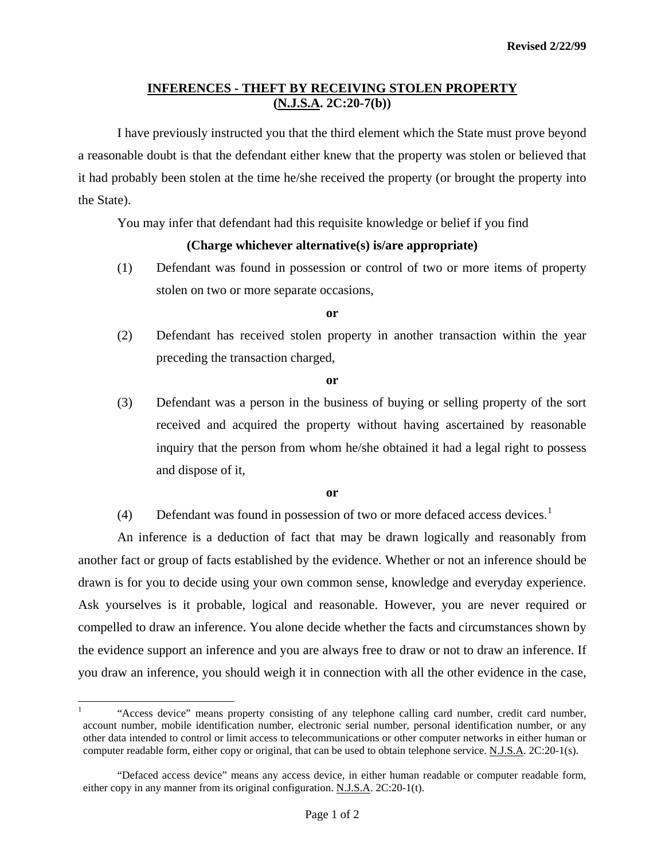# **INFERENCES - THEFT BY RECEIVING STOLEN PROPERTY (N.J.S.A. 2C:20-7(b))**

 I have previously instructed you that the third element which the State must prove beyond a reasonable doubt is that the defendant either knew that the property was stolen or believed that it had probably been stolen at the time he/she received the property (or brought the property into the State).

You may infer that defendant had this requisite knowledge or belief if you find

# **(Charge whichever alternative(s) is/are appropriate)**

(1) Defendant was found in possession or control of two or more items of property stolen on two or more separate occasions,

#### **or**

(2) Defendant has received stolen property in another transaction within the year preceding the transaction charged,

### **or**

(3) Defendant was a person in the business of buying or selling property of the sort received and acquired the property without having ascertained by reasonable inquiry that the person from whom he/she obtained it had a legal right to possess and dispose of it,

## **or**

(4) Defendant was found in possession of two or more defaced access devices.<sup>[1](#page-0-0)</sup>

 An inference is a deduction of fact that may be drawn logically and reasonably from another fact or group of facts established by the evidence. Whether or not an inference should be drawn is for you to decide using your own common sense, knowledge and everyday experience. Ask yourselves is it probable, logical and reasonable. However, you are never required or compelled to draw an inference. You alone decide whether the facts and circumstances shown by the evidence support an inference and you are always free to draw or not to draw an inference. If you draw an inference, you should weigh it in connection with all the other evidence in the case,

 $\overline{a}$ 

<span id="page-0-0"></span><sup>1</sup> "Access device" means property consisting of any telephone calling card number, credit card number, account number, mobile identification number, electronic serial number, personal identification number, or any other data intended to control or limit access to telecommunications or other computer networks in either human or computer readable form, either copy or original, that can be used to obtain telephone service. N.J.S.A. 2C:20-1(s).

 <sup>&</sup>quot;Defaced access device" means any access device, in either human readable or computer readable form, either copy in any manner from its original configuration. N.J.S.A. 2C:20-1(t).